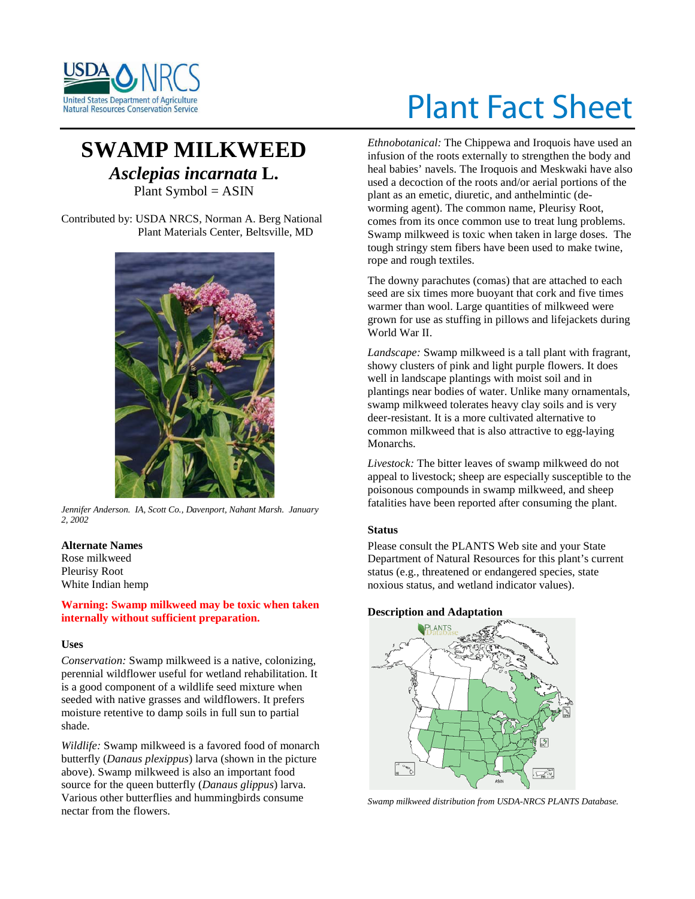

# Plant Fact Sheet

# **SWAMP MILKWEED** *Asclepias incarnata* **L.** Plant Symbol = ASIN

Contributed by: USDA NRCS, Norman A. Berg National Plant Materials Center, Beltsville, MD



*Jennifer Anderson. IA, Scott Co., Davenport, Nahant Marsh. January 2, 2002*

# **Alternate Names**

Rose milkweed Pleurisy Root White Indian hemp

#### **Warning: Swamp milkweed may be toxic when taken internally without sufficient preparation.**

#### **Uses**

*Conservation:* Swamp milkweed is a native, colonizing, perennial wildflower useful for wetland rehabilitation. It is a good component of a wildlife seed mixture when seeded with native grasses and wildflowers. It prefers moisture retentive to damp soils in full sun to partial shade.

*Wildlife:* Swamp milkweed is a favored food of monarch butterfly (*Danaus plexippus*) larva (shown in the picture above). Swamp milkweed is also an important food source for the queen butterfly (*Danaus glippus*) larva. Various other butterflies and hummingbirds consume nectar from the flowers.

*Ethnobotanical:* The Chippewa and Iroquois have used an infusion of the roots externally to strengthen the body and heal babies' navels. The Iroquois and Meskwaki have also used a decoction of the roots and/or aerial portions of the plant as an emetic, diuretic, and anthelmintic (deworming agent). The common name, Pleurisy Root, comes from its once common use to treat lung problems. Swamp milkweed is toxic when taken in large doses. The tough stringy stem fibers have been used to make twine, rope and rough textiles.

The downy parachutes (comas) that are attached to each seed are six times more buoyant that cork and five times warmer than wool. Large quantities of milkweed were grown for use as stuffing in pillows and lifejackets during World War II.

*Landscape:* Swamp milkweed is a tall plant with fragrant, showy clusters of pink and light purple flowers. It does well in landscape plantings with moist soil and in plantings near bodies of water. Unlike many ornamentals, swamp milkweed tolerates heavy clay soils and is very deer-resistant. It is a more cultivated alternative to common milkweed that is also attractive to egg-laying Monarchs.

*Livestock:* The bitter leaves of swamp milkweed do not appeal to livestock; sheep are especially susceptible to the poisonous compounds in swamp milkweed, and sheep fatalities have been reported after consuming the plant.

## **Status**

Please consult the PLANTS Web site and your State Department of Natural Resources for this plant's current status (e.g., threatened or endangered species, state noxious status, and wetland indicator values).

## **Description and Adaptation**



*Swamp milkweed distribution from USDA-NRCS PLANTS Database.*